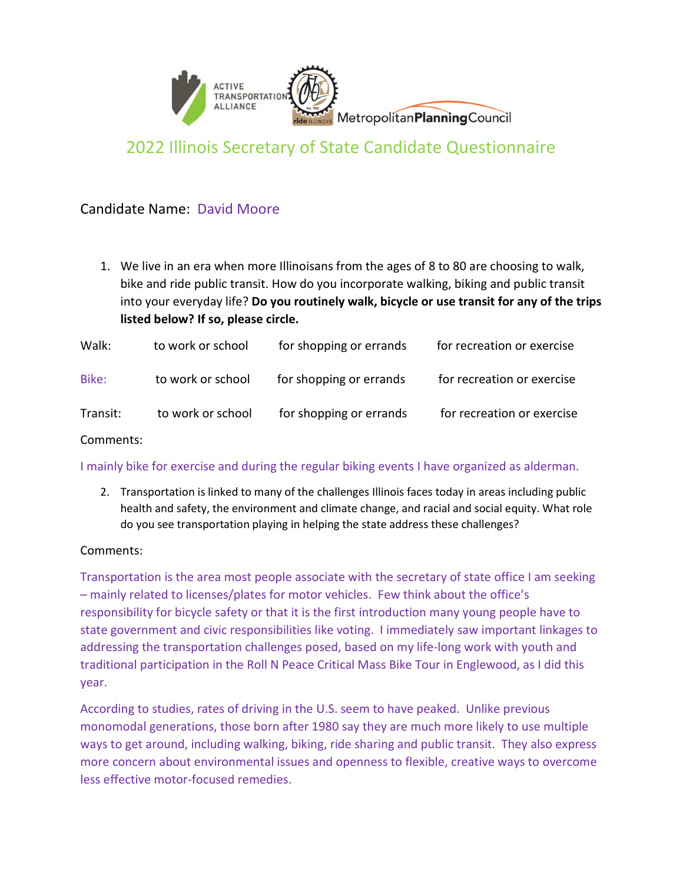

# 2022 Illinois Secretary of State Candidate Questionnaire

## Candidate Name: David Moore

1. We live in an era when more Illinoisans from the ages of 8 to 80 are choosing to walk, bike and ride public transit. How do you incorporate walking, biking and public transit into your everyday life? Do you routinely walk, bicycle or use transit for any of the trips listed below? If so, please circle.

| Walk:    | to work or school | for shopping or errands | for recreation or exercise |
|----------|-------------------|-------------------------|----------------------------|
| Bike:    | to work or school | for shopping or errands | for recreation or exercise |
| Transit: | to work or school | for shopping or errands | for recreation or exercise |

Comments:

### I mainly bike for exercise and during the regular biking events I have organized as alderman.

2. Transportation is linked to many of the challenges Illinois faces today in areas including public health and safety, the environment and climate change, and racial and social equity. What role do you see transportation playing in helping the state address these challenges?

### Comments:

Transportation is the area most people associate with the secretary of state office I am seeking – mainly related to licenses/plates for motor vehicles. Few think about the office's responsibility for bicycle safety or that it is the first introduction many young people have to state government and civic responsibilities like voting. I immediately saw important linkages to addressing the transportation challenges posed, based on my life-long work with youth and traditional participation in the Roll N Peace Critical Mass Bike Tour in Englewood, as I did this year.

According to studies, rates of driving in the U.S. seem to have peaked. Unlike previous monomodal generations, those born after 1980 say they are much more likely to use multiple ways to get around, including walking, biking, ride sharing and public transit. They also express more concern about environmental issues and openness to flexible, creative ways to overcome less effective motor-focused remedies.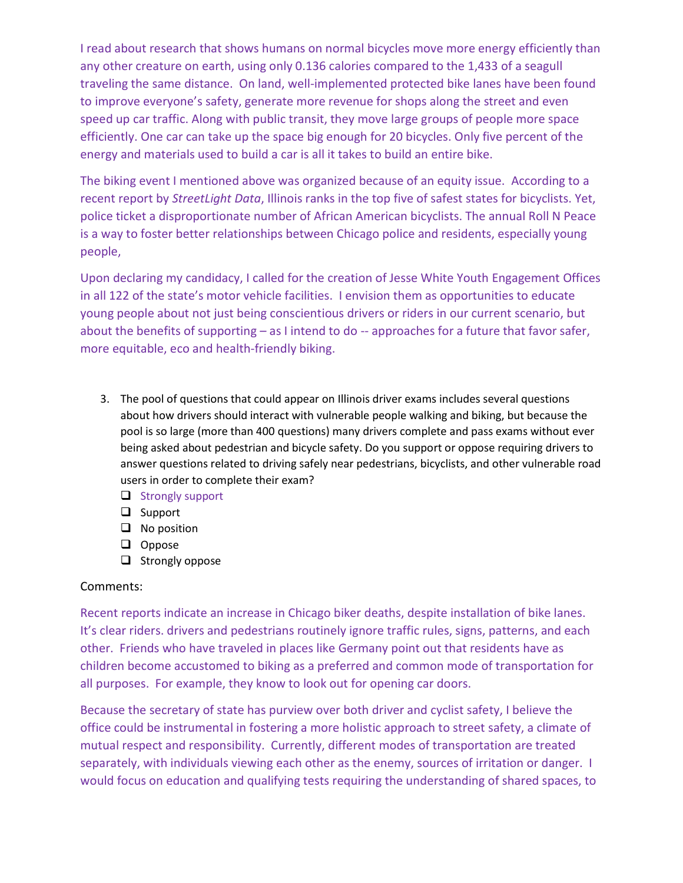I read about research that shows humans on normal bicycles move more energy efficiently than any other creature on earth, using only 0.136 calories compared to the 1,433 of a seagull traveling the same distance. On land, well-implemented protected bike lanes have been found to improve everyone's safety, generate more revenue for shops along the street and even speed up car traffic. Along with public transit, they move large groups of people more space efficiently. One car can take up the space big enough for 20 bicycles. Only five percent of the energy and materials used to build a car is all it takes to build an entire bike.

The biking event I mentioned above was organized because of an equity issue. According to a recent report by StreetLight Data, Illinois ranks in the top five of safest states for bicyclists. Yet, police ticket a disproportionate number of African American bicyclists. The annual Roll N Peace is a way to foster better relationships between Chicago police and residents, especially young people,

Upon declaring my candidacy, I called for the creation of Jesse White Youth Engagement Offices in all 122 of the state's motor vehicle facilities. I envision them as opportunities to educate young people about not just being conscientious drivers or riders in our current scenario, but about the benefits of supporting – as I intend to do -- approaches for a future that favor safer, more equitable, eco and health-friendly biking.

- 3. The pool of questions that could appear on Illinois driver exams includes several questions about how drivers should interact with vulnerable people walking and biking, but because the pool is so large (more than 400 questions) many drivers complete and pass exams without ever being asked about pedestrian and bicycle safety. Do you support or oppose requiring drivers to answer questions related to driving safely near pedestrians, bicyclists, and other vulnerable road users in order to complete their exam?
	- $\Box$  Strongly support
	- $\Box$  Support
	- $\Box$  No position
	- $\Box$  Oppose
	- $\Box$  Strongly oppose

### Comments:

Recent reports indicate an increase in Chicago biker deaths, despite installation of bike lanes. It's clear riders. drivers and pedestrians routinely ignore traffic rules, signs, patterns, and each other. Friends who have traveled in places like Germany point out that residents have as children become accustomed to biking as a preferred and common mode of transportation for all purposes. For example, they know to look out for opening car doors.

Because the secretary of state has purview over both driver and cyclist safety, I believe the office could be instrumental in fostering a more holistic approach to street safety, a climate of mutual respect and responsibility. Currently, different modes of transportation are treated separately, with individuals viewing each other as the enemy, sources of irritation or danger. I would focus on education and qualifying tests requiring the understanding of shared spaces, to